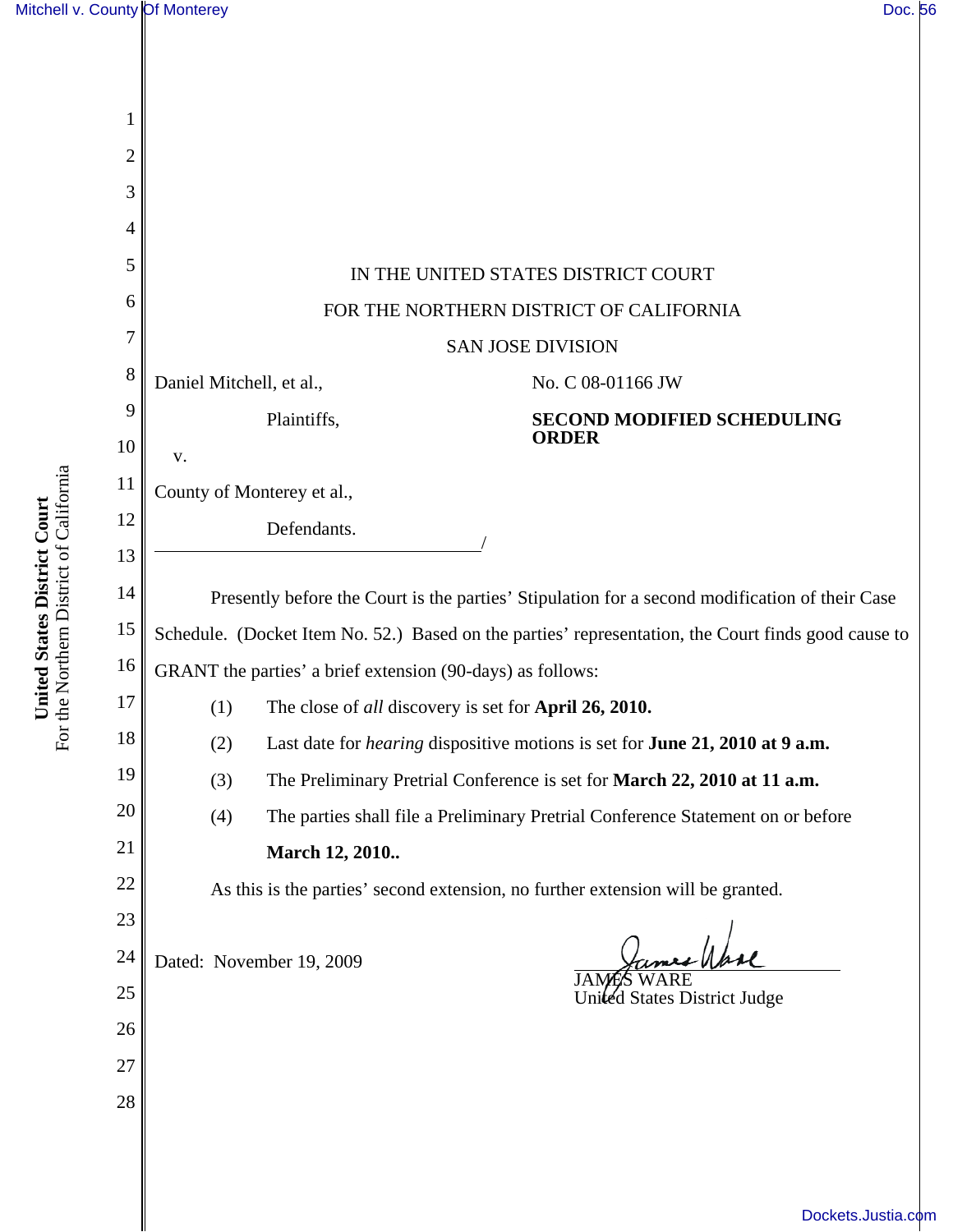| 1              |                                                                                                     |                                   |  |
|----------------|-----------------------------------------------------------------------------------------------------|-----------------------------------|--|
| $\overline{2}$ |                                                                                                     |                                   |  |
| 3              |                                                                                                     |                                   |  |
| 4              |                                                                                                     |                                   |  |
| 5              | IN THE UNITED STATES DISTRICT COURT                                                                 |                                   |  |
| 6              | FOR THE NORTHERN DISTRICT OF CALIFORNIA                                                             |                                   |  |
| 7              | <b>SAN JOSE DIVISION</b>                                                                            |                                   |  |
| 8              | Daniel Mitchell, et al.,                                                                            | No. C 08-01166 JW                 |  |
| 9              | Plaintiffs,                                                                                         | <b>SECOND MODIFIED SCHEDULING</b> |  |
| 10             | v.                                                                                                  | <b>ORDER</b>                      |  |
| 11             | County of Monterey et al.,                                                                          |                                   |  |
| 12             | Defendants.                                                                                         |                                   |  |
| 13             |                                                                                                     |                                   |  |
| 14             | Presently before the Court is the parties' Stipulation for a second modification of their Case      |                                   |  |
| 15             | Schedule. (Docket Item No. 52.) Based on the parties' representation, the Court finds good cause to |                                   |  |
| 16             | GRANT the parties' a brief extension (90-days) as follows:                                          |                                   |  |
| 17             | (1)<br>The close of all discovery is set for April 26, 2010.                                        |                                   |  |
| 18             | Last date for <i>hearing</i> dispositive motions is set for <b>June 21, 2010 at 9 a.m.</b><br>(2)   |                                   |  |
| 19             | The Preliminary Pretrial Conference is set for March 22, 2010 at 11 a.m.<br>(3)                     |                                   |  |
| 20             | The parties shall file a Preliminary Pretrial Conference Statement on or before<br>(4)              |                                   |  |
| 21             | March 12, 2010                                                                                      |                                   |  |
| 22<br>23       | As this is the parties' second extension, no further extension will be granted.                     |                                   |  |
| 24             |                                                                                                     |                                   |  |
| 25             | Dated: November 19, 2009                                                                            |                                   |  |
| 26             |                                                                                                     | United States District Judge      |  |
| 27             |                                                                                                     |                                   |  |
| 28             |                                                                                                     |                                   |  |
|                |                                                                                                     |                                   |  |

**United States District Court**<br>For the Northern District of California For the Northern District of California **United States District Court**